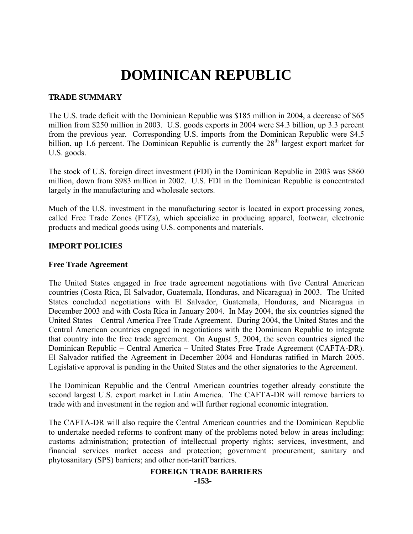# **DOMINICAN REPUBLIC**

# **TRADE SUMMARY**

The U.S. trade deficit with the Dominican Republic was \$185 million in 2004, a decrease of \$65 million from \$250 million in 2003. U.S. goods exports in 2004 were \$4.3 billion, up 3.3 percent from the previous year. Corresponding U.S. imports from the Dominican Republic were \$4.5 billion, up 1.6 percent. The Dominican Republic is currently the  $28<sup>th</sup>$  largest export market for U.S. goods.

The stock of U.S. foreign direct investment (FDI) in the Dominican Republic in 2003 was \$860 million, down from \$983 million in 2002. U.S. FDI in the Dominican Republic is concentrated largely in the manufacturing and wholesale sectors.

Much of the U.S. investment in the manufacturing sector is located in export processing zones, called Free Trade Zones (FTZs), which specialize in producing apparel, footwear, electronic products and medical goods using U.S. components and materials.

# **IMPORT POLICIES**

## **Free Trade Agreement**

The United States engaged in free trade agreement negotiations with five Central American countries (Costa Rica, El Salvador, Guatemala, Honduras, and Nicaragua) in 2003. The United States concluded negotiations with El Salvador, Guatemala, Honduras, and Nicaragua in December 2003 and with Costa Rica in January 2004. In May 2004, the six countries signed the United States – Central America Free Trade Agreement. During 2004, the United States and the Central American countries engaged in negotiations with the Dominican Republic to integrate that country into the free trade agreement. On August 5, 2004, the seven countries signed the Dominican Republic – Central America – United States Free Trade Agreement (CAFTA-DR). El Salvador ratified the Agreement in December 2004 and Honduras ratified in March 2005. Legislative approval is pending in the United States and the other signatories to the Agreement.

The Dominican Republic and the Central American countries together already constitute the second largest U.S. export market in Latin America. The CAFTA-DR will remove barriers to trade with and investment in the region and will further regional economic integration.

The CAFTA-DR will also require the Central American countries and the Dominican Republic to undertake needed reforms to confront many of the problems noted below in areas including: customs administration; protection of intellectual property rights; services, investment, and financial services market access and protection; government procurement; sanitary and phytosanitary (SPS) barriers; and other non-tariff barriers.

#### **FOREIGN TRADE BARRIERS -153-**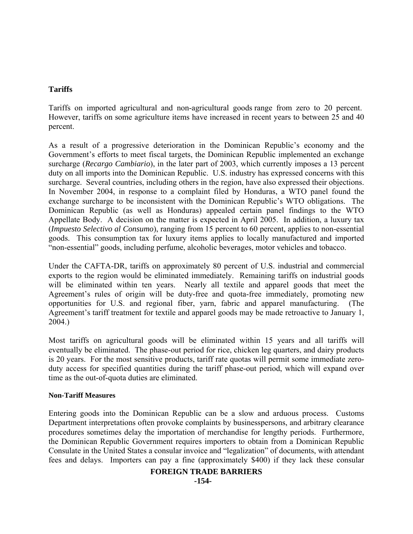# **Tariffs**

Tariffs on imported agricultural and non-agricultural goods range from zero to 20 percent. However, tariffs on some agriculture items have increased in recent years to between 25 and 40 percent.

As a result of a progressive deterioration in the Dominican Republic's economy and the Government's efforts to meet fiscal targets, the Dominican Republic implemented an exchange surcharge (*Recargo Cambiario*), in the later part of 2003, which currently imposes a 13 percent duty on all imports into the Dominican Republic. U.S. industry has expressed concerns with this surcharge. Several countries, including others in the region, have also expressed their objections. In November 2004, in response to a complaint filed by Honduras, a WTO panel found the exchange surcharge to be inconsistent with the Dominican Republic's WTO obligations. The Dominican Republic (as well as Honduras) appealed certain panel findings to the WTO Appellate Body. A decision on the matter is expected in April 2005. In addition, a luxury tax (*Impuesto Selectivo al Consumo*), ranging from 15 percent to 60 percent, applies to non-essential goods. This consumption tax for luxury items applies to locally manufactured and imported "non-essential" goods, including perfume, alcoholic beverages, motor vehicles and tobacco.

Under the CAFTA-DR, tariffs on approximately 80 percent of U.S. industrial and commercial exports to the region would be eliminated immediately. Remaining tariffs on industrial goods will be eliminated within ten years. Nearly all textile and apparel goods that meet the Agreement's rules of origin will be duty-free and quota-free immediately, promoting new opportunities for U.S. and regional fiber, yarn, fabric and apparel manufacturing. (The Agreement's tariff treatment for textile and apparel goods may be made retroactive to January 1, 2004.)

Most tariffs on agricultural goods will be eliminated within 15 years and all tariffs will eventually be eliminated. The phase-out period for rice, chicken leg quarters, and dairy products is 20 years. For the most sensitive products, tariff rate quotas will permit some immediate zeroduty access for specified quantities during the tariff phase-out period, which will expand over time as the out-of-quota duties are eliminated.

## **Non-Tariff Measures**

Entering goods into the Dominican Republic can be a slow and arduous process. Customs Department interpretations often provoke complaints by businesspersons, and arbitrary clearance procedures sometimes delay the importation of merchandise for lengthy periods. Furthermore, the Dominican Republic Government requires importers to obtain from a Dominican Republic Consulate in the United States a consular invoice and "legalization" of documents, with attendant fees and delays. Importers can pay a fine (approximately \$400) if they lack these consular

#### **FOREIGN TRADE BARRIERS**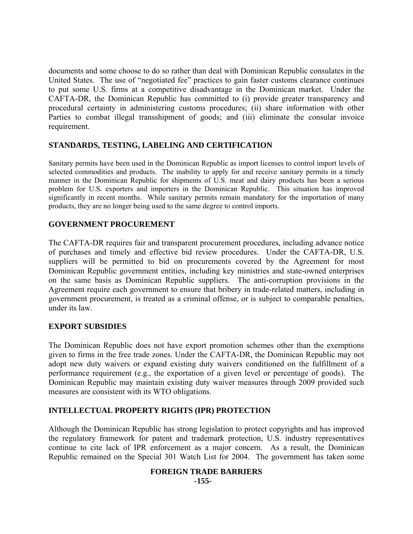documents and some choose to do so rather than deal with Dominican Republic consulates in the United States. The use of "negotiated fee" practices to gain faster customs clearance continues to put some U.S. firms at a competitive disadvantage in the Dominican market. Under the CAFTA-DR, the Dominican Republic has committed to (i) provide greater transparency and procedural certainty in administering customs procedures; (ii) share information with other Parties to combat illegal transshipment of goods; and (iii) eliminate the consular invoice requirement.

# **STANDARDS, TESTING, LABELING AND CERTIFICATION**

Sanitary permits have been used in the Dominican Republic as import licenses to control import levels of selected commodities and products. The inability to apply for and receive sanitary permits in a timely manner in the Dominican Republic for shipments of U.S. meat and dairy products has been a serious problem for U.S. exporters and importers in the Dominican Republic. This situation has improved significantly in recent months. While sanitary permits remain mandatory for the importation of many products, they are no longer being used to the same degree to control imports.

## **GOVERNMENT PROCUREMENT**

The CAFTA-DR requires fair and transparent procurement procedures, including advance notice of purchases and timely and effective bid review procedures. Under the CAFTA-DR, U.S. suppliers will be permitted to bid on procurements covered by the Agreement for most Dominican Republic government entities, including key ministries and state-owned enterprises on the same basis as Dominican Republic suppliers. The anti-corruption provisions in the Agreement require each government to ensure that bribery in trade-related matters, including in government procurement, is treated as a criminal offense, or is subject to comparable penalties, under its law.

## **EXPORT SUBSIDIES**

The Dominican Republic does not have export promotion schemes other than the exemptions given to firms in the free trade zones. Under the CAFTA-DR, the Dominican Republic may not adopt new duty waivers or expand existing duty waivers conditioned on the fulfillment of a performance requirement (e.g., the exportation of a given level or percentage of goods). The Dominican Republic may maintain existing duty waiver measures through 2009 provided such measures are consistent with its WTO obligations.

# **INTELLECTUAL PROPERTY RIGHTS (IPR) PROTECTION**

Although the Dominican Republic has strong legislation to protect copyrights and has improved the regulatory framework for patent and trademark protection, U.S. industry representatives continue to cite lack of IPR enforcement as a major concern. As a result, the Dominican Republic remained on the Special 301 Watch List for 2004. The government has taken some

#### **FOREIGN TRADE BARRIERS -155-**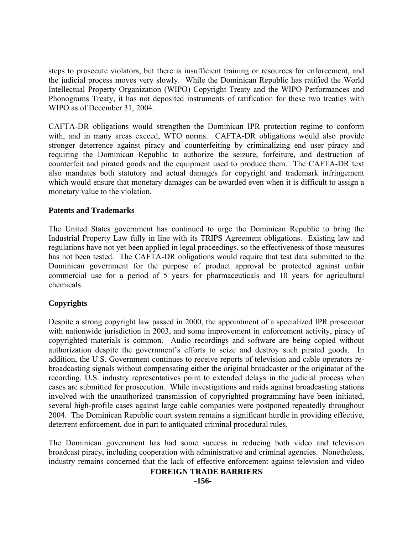steps to prosecute violators, but there is insufficient training or resources for enforcement, and the judicial process moves very slowly. While the Dominican Republic has ratified the World Intellectual Property Organization (WIPO) Copyright Treaty and the WIPO Performances and Phonograms Treaty, it has not deposited instruments of ratification for these two treaties with WIPO as of December 31, 2004.

CAFTA-DR obligations would strengthen the Dominican IPR protection regime to conform with, and in many areas exceed, WTO norms. CAFTA-DR obligations would also provide stronger deterrence against piracy and counterfeiting by criminalizing end user piracy and requiring the Dominican Republic to authorize the seizure, forfeiture, and destruction of counterfeit and pirated goods and the equipment used to produce them. The CAFTA-DR text also mandates both statutory and actual damages for copyright and trademark infringement which would ensure that monetary damages can be awarded even when it is difficult to assign a monetary value to the violation.

## **Patents and Trademarks**

The United States government has continued to urge the Dominican Republic to bring the Industrial Property Law fully in line with its TRIPS Agreement obligations. Existing law and regulations have not yet been applied in legal proceedings, so the effectiveness of those measures has not been tested. The CAFTA-DR obligations would require that test data submitted to the Dominican government for the purpose of product approval be protected against unfair commercial use for a period of 5 years for pharmaceuticals and 10 years for agricultural chemicals.

# **Copyrights**

Despite a strong copyright law passed in 2000, the appointment of a specialized IPR prosecutor with nationwide jurisdiction in 2003, and some improvement in enforcement activity, piracy of copyrighted materials is common. Audio recordings and software are being copied without authorization despite the government's efforts to seize and destroy such pirated goods. In addition, the U.S. Government continues to receive reports of television and cable operators rebroadcasting signals without compensating either the original broadcaster or the originator of the recording. U.S. industry representatives point to extended delays in the judicial process when cases are submitted for prosecution. While investigations and raids against broadcasting stations involved with the unauthorized transmission of copyrighted programming have been initiated, several high-profile cases against large cable companies were postponed repeatedly throughout 2004. The Dominican Republic court system remains a significant hurdle in providing effective, deterrent enforcement, due in part to antiquated criminal procedural rules.

The Dominican government has had some success in reducing both video and television broadcast piracy, including cooperation with administrative and criminal agencies. Nonetheless, industry remains concerned that the lack of effective enforcement against television and video

# **FOREIGN TRADE BARRIERS**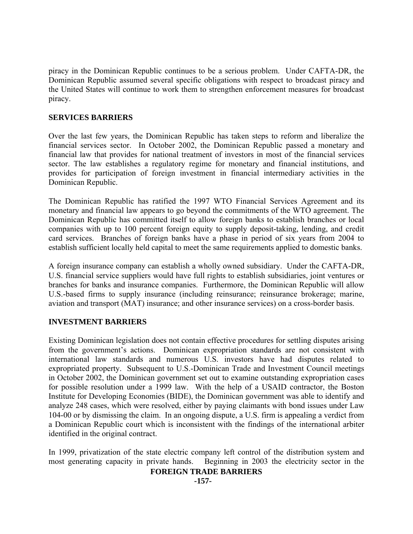piracy in the Dominican Republic continues to be a serious problem. Under CAFTA-DR, the Dominican Republic assumed several specific obligations with respect to broadcast piracy and the United States will continue to work them to strengthen enforcement measures for broadcast piracy.

# **SERVICES BARRIERS**

Over the last few years, the Dominican Republic has taken steps to reform and liberalize the financial services sector. In October 2002, the Dominican Republic passed a monetary and financial law that provides for national treatment of investors in most of the financial services sector. The law establishes a regulatory regime for monetary and financial institutions, and provides for participation of foreign investment in financial intermediary activities in the Dominican Republic.

The Dominican Republic has ratified the 1997 WTO Financial Services Agreement and its monetary and financial law appears to go beyond the commitments of the WTO agreement. The Dominican Republic has committed itself to allow foreign banks to establish branches or local companies with up to 100 percent foreign equity to supply deposit-taking, lending, and credit card services. Branches of foreign banks have a phase in period of six years from 2004 to establish sufficient locally held capital to meet the same requirements applied to domestic banks.

A foreign insurance company can establish a wholly owned subsidiary. Under the CAFTA-DR, U.S. financial service suppliers would have full rights to establish subsidiaries, joint ventures or branches for banks and insurance companies. Furthermore, the Dominican Republic will allow U.S.-based firms to supply insurance (including reinsurance; reinsurance brokerage; marine, aviation and transport (MAT) insurance; and other insurance services) on a cross-border basis.

## **INVESTMENT BARRIERS**

Existing Dominican legislation does not contain effective procedures for settling disputes arising from the government's actions. Dominican expropriation standards are not consistent with international law standards and numerous U.S. investors have had disputes related to expropriated property. Subsequent to U.S.-Dominican Trade and Investment Council meetings in October 2002, the Dominican government set out to examine outstanding expropriation cases for possible resolution under a 1999 law. With the help of a USAID contractor, the Boston Institute for Developing Economies (BIDE), the Dominican government was able to identify and analyze 248 cases, which were resolved, either by paying claimants with bond issues under Law 104-00 or by dismissing the claim. In an ongoing dispute, a U.S. firm is appealing a verdict from a Dominican Republic court which is inconsistent with the findings of the international arbiter identified in the original contract.

In 1999, privatization of the state electric company left control of the distribution system and most generating capacity in private hands. Beginning in 2003 the electricity sector in the

# **FOREIGN TRADE BARRIERS**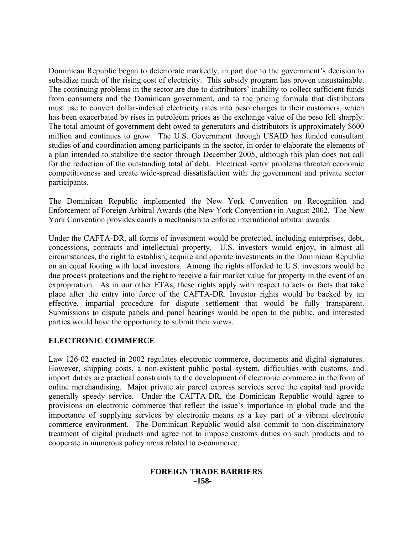Dominican Republic began to deteriorate markedly, in part due to the government's decision to subsidize much of the rising cost of electricity. This subsidy program has proven unsustainable. The continuing problems in the sector are due to distributors' inability to collect sufficient funds from consumers and the Dominican government, and to the pricing formula that distributors must use to convert dollar-indexed electricity rates into peso charges to their customers, which has been exacerbated by rises in petroleum prices as the exchange value of the peso fell sharply. The total amount of government debt owed to generators and distributors is approximately \$600 million and continues to grow. The U.S. Government through USAID has funded consultant studies of and coordination among participants in the sector, in order to elaborate the elements of a plan intended to stabilize the sector through December 2005, although this plan does not call for the reduction of the outstanding total of debt. Electrical sector problems threaten economic competitiveness and create wide-spread dissatisfaction with the government and private sector participants.

The Dominican Republic implemented the New York Convention on Recognition and Enforcement of Foreign Arbitral Awards (the New York Convention) in August 2002. The New York Convention provides courts a mechanism to enforce international arbitral awards.

Under the CAFTA-DR, all forms of investment would be protected, including enterprises, debt, concessions, contracts and intellectual property. U.S. investors would enjoy, in almost all circumstances, the right to establish, acquire and operate investments in the Dominican Republic on an equal footing with local investors. Among the rights afforded to U.S. investors would be due process protections and the right to receive a fair market value for property in the event of an expropriation. As in our other FTAs, these rights apply with respect to acts or facts that take place after the entry into force of the CAFTA-DR. Investor rights would be backed by an effective, impartial procedure for dispute settlement that would be fully transparent. Submissions to dispute panels and panel hearings would be open to the public, and interested parties would have the opportunity to submit their views.

# **ELECTRONIC COMMERCE**

Law 126-02 enacted in 2002 regulates electronic commerce, documents and digital signatures. However, shipping costs, a non-existent public postal system, difficulties with customs, and import duties are practical constraints to the development of electronic commerce in the form of online merchandising. Major private air parcel express services serve the capital and provide generally speedy service. Under the CAFTA-DR, the Dominican Republic would agree to provisions on electronic commerce that reflect the issue's importance in global trade and the importance of supplying services by electronic means as a key part of a vibrant electronic commerce environment. The Dominican Republic would also commit to non-discriminatory treatment of digital products and agree not to impose customs duties on such products and to cooperate in numerous policy areas related to e-commerce.

## **FOREIGN TRADE BARRIERS -158-**